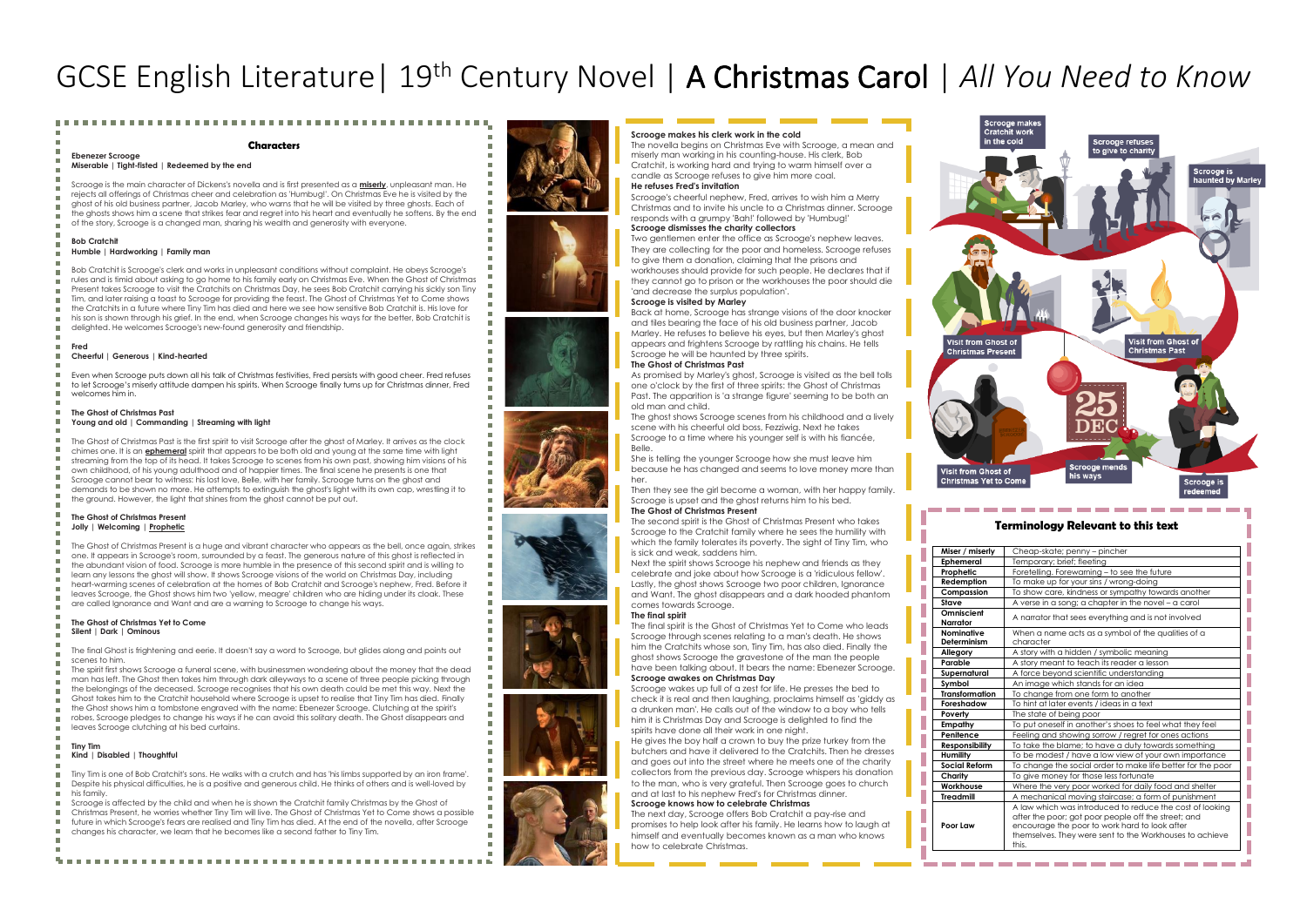# GCSE English Literature| 19th Century Novel | A Christmas Carol | *All You Need to Know*

#### **Characters**

#### **Ebenezer Scrooge Miserable | Tight-fisted | Redeemed by the end**

Scrooge is the main character of Dickens's novella and is first presented as a **miserly**, unpleasant man. He rejects all offerings of Christmas cheer and celebration as 'Humbug!'. On Christmas Eve he is visited by the ghost of his old business partner, Jacob Marley, who warns that he will be visited by three ghosts. Each of the ghosts shows him a scene that strikes fear and regret into his heart and eventually he softens. By the end of the story, Scrooge is a changed man, sharing his wealth and generosity with everyone.

# **Bob Cratchit**

#### **Humble | Hardworking | Family man**

Bob Cratchit is Scrooge's clerk and works in unpleasant conditions without complaint. He obeys Scrooge's rules and is timid about asking to go home to his family early on Christmas Eve. When the Ghost of Christmas Present takes Scrooge to visit the Cratchits on Christmas Day, he sees Bob Cratchit carrying his sickly son Tiny Tim, and later raising a toast to Scrooge for providing the feast. The Ghost of Christmas Yet to Come shows the Cratchits in a future where Tiny Tim has died and here we see how sensitive Bob Cratchit is. His love for his son is shown through his grief. In the end, when Scrooge changes his ways for the better, Bob Cratchit is delighted. He welcomes Scrooge's new-found generosity and friendship.

#### **Fred**

#### **Cheerful | Generous | Kind-hearted**

Even when Scrooge puts down all his talk of Christmas festivities, Fred persists with good cheer. Fred refuses to let Scrooge's miserly attitude dampen his spirits. When Scrooge finally turns up for Christmas dinner, Fred welcomes him in.

#### **The Ghost of Christmas Past Young and old | Commanding | Streaming with light**

The Ghost of Christmas Past is the first spirit to visit Scrooge after the ghost of Marley. It arrives as the clock chimes one. It is an **ephemeral** spirit that appears to be both old and young at the same time with light streaming from the top of its head. It takes Scrooge to scenes from his own past, showing him visions of his own childhood, of his young adulthood and of happier times. The final scene he presents is one that Scrooge cannot bear to witness: his lost love, Belle, with her family. Scrooge turns on the ghost and demands to be shown no more. He attempts to extinguish the ghost's light with its own cap, wrestling it to the ground. However, the light that shines from the ghost cannot be put out.

#### **The Ghost of Christmas Present Jolly | Welcoming | Prophetic**

The Ghost of Christmas Present is a huge and vibrant character who appears as the bell, once again, strikes one. It appears in Scrooge's room, surrounded by a feast. The generous nature of this ghost is reflected in the abundant vision of food. Scrooge is more humble in the presence of this second spirit and is willing to learn any lessons the ghost will show. It shows Scrooge visions of the world on Christmas Day, including heart-warming scenes of celebration at the homes of Bob Cratchit and Scrooge's nephew, Fred. Before it leaves Scrooge, the Ghost shows him two 'yellow, meagre' children who are hiding under its cloak. These are called Ignorance and Want and are a warning to Scrooge to change his ways.

#### **The Ghost of Christmas Yet to Come Silent | Dark | Ominous**

The final Ghost is frightening and eerie. It doesn't say a word to Scrooge, but glides along and points out scenes to him.

The spirit first shows Scrooge a funeral scene, with businessmen wondering about the money that the dead

- man has left. The Ghost then takes him through dark alleyways to a scene of three people picking through the belongings of the deceased. Scrooge recognises that his own death could be met this way. Next the
- Ghost takes him to the Cratchit household where Scrooge is upset to realise that Tiny Tim has died. Finally

the Ghost shows him a tombstone engraved with the name: Ebenezer Scrooge. Clutching at the spirit's

robes, Scrooge pledges to change his ways if he can avoid this solitary death. The Ghost disappears and leaves Scrooge clutching at his bed curtains.

### **Tiny Tim Kind | Disabled | Thoughtful**

Tiny Tim is one of Bob Cratchit's sons. He walks with a crutch and has 'his limbs supported by an iron frame'. Despite his physical difficulties, he is a positive and generous child. He thinks of others and is well-loved by his family.

Scrooge is affected by the child and when he is shown the Cratchit family Christmas by the Ghost of

Christmas Present, he worries whether Tiny Tim will live. The Ghost of Christmas Yet to Come shows a possible future in which Scrooge's fears are realised and Tiny Tim has died. At the end of the novella, after Scrooge changes his character, we learn that he becomes like a second father to Tiny Tim.













#### **Scrooge makes his clerk work in the cold**

The novella begins on Christmas Eve with Scrooge, a mean and miserly man working in his counting-house. His clerk, Bob Cratchit, is working hard and trying to warm himself over a candle as Scrooge refuses to give him more coal. **He refuses Fred's invitation**

Scrooge's cheerful nephew, Fred, arrives to wish him a Merry Christmas and to invite his uncle to a Christmas dinner. Scrooge responds with a grumpy 'Bah!' followed by 'Humbug!'

#### **Scrooge dismisses the charity collectors**

Two gentlemen enter the office as Scrooge's nephew leaves. They are collecting for the poor and homeless. Scrooge refuses to give them a donation, claiming that the prisons and workhouses should provide for such people. He declares that if they cannot go to prison or the workhouses the poor should die 'and decrease the surplus population'.

### **Scrooge is visited by Marley**

Back at home, Scrooge has strange visions of the door knocker and tiles bearing the face of his old business partner, Jacob Marley. He refuses to believe his eyes, but then Marley's ghost appears and frightens Scrooge by rattling his chains. He tells Scrooge he will be haunted by three spirits. **The Ghost of Christmas Past**

As promised by Marley's ghost, Scrooge is visited as the bell tolls one o'clock by the first of three spirits: the Ghost of Christmas Past. The apparition is 'a strange figure' seeming to be both an old man and child.

The ghost shows Scrooge scenes from his childhood and a lively scene with his cheerful old boss, Fezziwig. Next he takes Scrooge to a time where his younger self is with his fiancée, Belle.

She is telling the younger Scrooge how she must leave him because he has changed and seems to love money more than

her. Then they see the girl become a woman, with her happy family. Scrooge is upset and the ghost returns him to his bed. **The Ghost of Christmas Present**

The second spirit is the Ghost of Christmas Present who takes Scrooge to the Cratchit family where he sees the humility with which the family tolerates its poverty. The sight of Tiny Tim, who is sick and weak, saddens him.

Next the spirit shows Scrooge his nephew and friends as they celebrate and joke about how Scrooge is a 'ridiculous fellow'. Lastly, the ghost shows Scrooge two poor children, Ignorance and Want. The ghost disappears and a dark hooded phantom comes towards Scrooge.

#### **The final spirit**

The final spirit is the Ghost of Christmas Yet to Come who leads Scrooge through scenes relating to a man's death. He shows him the Cratchits whose son, Tiny Tim, has also died. Finally the ghost shows Scrooge the gravestone of the man the people have been talking about. It bears the name: Ebenezer Scrooge. **Scrooge awakes on Christmas Day**

Scrooge wakes up full of a zest for life. He presses the bed to check it is real and then laughing, proclaims himself as 'giddy as a drunken man'. He calls out of the window to a boy who tells him it is Christmas Day and Scrooge is delighted to find the spirits have done all their work in one night.

He gives the boy half a crown to buy the prize turkey from the butchers and have it delivered to the Cratchits. Then he dresses and goes out into the street where he meets one of the charity collectors from the previous day. Scrooge whispers his donation to the man, who is very grateful. Then Scrooge goes to church and at last to his nephew Fred's for Christmas dinner.

# **Scrooge knows how to celebrate Christmas**

The next day, Scrooge offers Bob Cratchit a pay-rise and promises to help look after his family. He learns how to laugh at himself and eventually becomes known as a man who knows how to celebrate Christmas.



## **Terminology Relevant to this text**

| Miser / miserly           | Cheap-skate; penny - pincher                                                                                                                                                                                                        |  |  |  |  |  |  |
|---------------------------|-------------------------------------------------------------------------------------------------------------------------------------------------------------------------------------------------------------------------------------|--|--|--|--|--|--|
| Ephemeral                 | Temporary; brief; fleeting                                                                                                                                                                                                          |  |  |  |  |  |  |
| Prophetic                 | Foretelling. Forewarning - to see the future                                                                                                                                                                                        |  |  |  |  |  |  |
| Redemption                | To make up for your sins / wrong-doing                                                                                                                                                                                              |  |  |  |  |  |  |
| Compassion                | To show care, kindness or sympathy towards another                                                                                                                                                                                  |  |  |  |  |  |  |
| Stave                     | A verse in a song; a chapter in the novel - a carol                                                                                                                                                                                 |  |  |  |  |  |  |
| Omniscient<br>Narrator    | A narrator that sees everything and is not involved                                                                                                                                                                                 |  |  |  |  |  |  |
| Nominative<br>Determinism | When a name acts as a symbol of the qualities of a<br>character                                                                                                                                                                     |  |  |  |  |  |  |
|                           |                                                                                                                                                                                                                                     |  |  |  |  |  |  |
| Allegory                  | A story with a hidden / symbolic meaning                                                                                                                                                                                            |  |  |  |  |  |  |
| Parable                   | A story meant to teach its reader a lesson                                                                                                                                                                                          |  |  |  |  |  |  |
| Supernatural              | A force beyond scientific understanding                                                                                                                                                                                             |  |  |  |  |  |  |
| Symbol                    | An image which stands for an idea                                                                                                                                                                                                   |  |  |  |  |  |  |
| <b>Transformation</b>     | To change from one form to another                                                                                                                                                                                                  |  |  |  |  |  |  |
| Foreshadow                | To hint at later events / ideas in a text<br>The state of being poor                                                                                                                                                                |  |  |  |  |  |  |
| Poverty                   |                                                                                                                                                                                                                                     |  |  |  |  |  |  |
| Empathy                   | To put oneself in another's shoes to feel what they feel                                                                                                                                                                            |  |  |  |  |  |  |
| Penitence                 | Feeling and showing sorrow / regret for ones actions                                                                                                                                                                                |  |  |  |  |  |  |
| <b>Responsibility</b>     | To take the blame; to have a duty towards something                                                                                                                                                                                 |  |  |  |  |  |  |
| Humility                  | To be modest / have a low view of your own importance                                                                                                                                                                               |  |  |  |  |  |  |
| <b>Social Reform</b>      | To change the social order to make life better for the poor                                                                                                                                                                         |  |  |  |  |  |  |
| Charity                   | To give money for those less fortunate                                                                                                                                                                                              |  |  |  |  |  |  |
| Workhouse                 | Where the very poor worked for daily food and shelter                                                                                                                                                                               |  |  |  |  |  |  |
| <b>Treadmill</b>          | A mechanical moving staircase; a form of punishment                                                                                                                                                                                 |  |  |  |  |  |  |
| Poor Law                  | A law which was introduced to reduce the cost of looking<br>after the poor; got poor people off the street; and<br>encourage the poor to work hard to look after<br>themselves. They were sent to the Workhouses to achieve<br>thir |  |  |  |  |  |  |